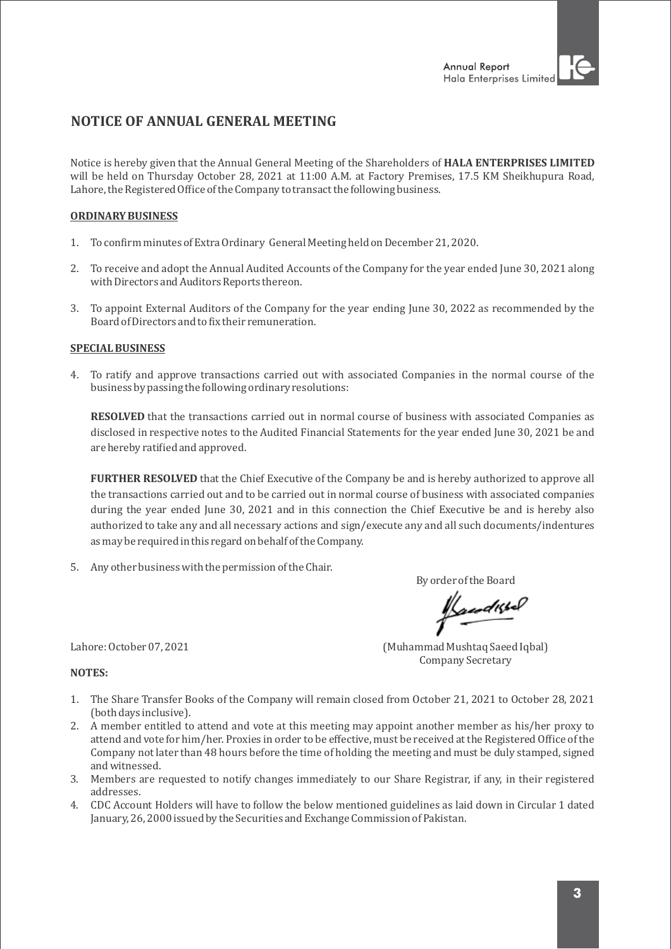# **NOTICE OF ANNUAL GENERAL MEETING**

Notice is hereby given that the Annual General Meeting of the Shareholders of HALA ENTERPRISES LIMITED will be held on Thursday October 28, 2021 at 11:00 A.M. at Factory Premises, 17.5 KM Sheikhupura Road, Lahore, the Registered Office of the Company to transact the following business.

### **ORDINARY BUSINESS**

- 1. To confirm minutes of Extra Ordinary General Meeting held on December 21, 2020.
- 2. To receive and adopt the Annual Audited Accounts of the Company for the year ended June 30, 2021 along with Directors and Auditors Reports thereon.
- 3. To appoint External Auditors of the Company for the year ending June 30, 2022 as recommended by the Board of Directors and to fix their remuneration.

### **SPECIAL BUSINESS**

4. To ratify and approve transactions carried out with associated Companies in the normal course of the business by passing the following ordinary resolutions:

**RESOLVED** that the transactions carried out in normal course of business with associated Companies as disclosed in respective notes to the Audited Financial Statements for the year ended June 30, 2021 be and are hereby ratified and approved.

**FURTHER RESOLVED** that the Chief Executive of the Company be and is hereby authorized to approve all the transactions carried out and to be carried out in normal course of business with associated companies during the year ended June 30, 2021 and in this connection the Chief Executive be and is hereby also authorized to take any and all necessary actions and sign/execute any and all such documents/indentures as may be required in this regard on behalf of the Company.

5. Any other business with the permission of the Chair.

By order of the Board

Kandistel

Lahore: October 07, 2021 (Muhammad Mushtaq Saeed Iqbal) Company Secretary

#### **NOTES:**

- 1. The Share Transfer Books of the Company will remain closed from October 21, 2021 to October 28, 2021 (both days inclusive).
- 2. A member entitled to attend and vote at this meeting may appoint another member as his/her proxy to attend and vote for him/her. Proxies in order to be effective, must be received at the Registered Office of the Company not later than 48 hours before the time of holding the meeting and must be duly stamped, signed and witnessed.
- 3. Members are requested to notify changes immediately to our Share Registrar, if any, in their registered addresses.
- 4. CDC Account Holders will have to follow the below mentioned guidelines as laid down in Circular 1 dated January, 26, 2000 issued by the Securities and Exchange Commission of Pakistan.